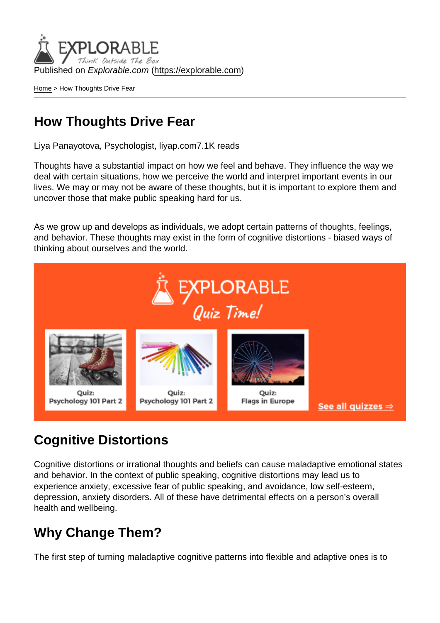Published on Explorable.com (<https://explorable.com>)

[Home](https://explorable.com/) > How Thoughts Drive Fear

#### How Thoughts Drive Fear

Liya Panayotova, Psychologist, liyap.com7.1K reads

Thoughts have a substantial impact on how we feel and behave. They influence the way we deal with certain situations, how we perceive the world and interpret important events in our lives. We may or may not be aware of these thoughts, but it is important to explore them and uncover those that make public speaking hard for us.

As we grow up and develops as individuals, we adopt certain patterns of thoughts, feelings, and behavior. These thoughts may exist in the form of cognitive distortions - biased ways of thinking about ourselves and the world.

#### Cognitive Distortions

Cognitive distortions or irrational thoughts and beliefs can cause maladaptive emotional states and behavior. In the context of public speaking, cognitive distortions may lead us to experience anxiety, excessive fear of public speaking, and avoidance, low self-esteem, depression, anxiety disorders. All of these have detrimental effects on a person's overall health and wellbeing.

### Why Change Them?

The first step of turning maladaptive cognitive patterns into flexible and adaptive ones is to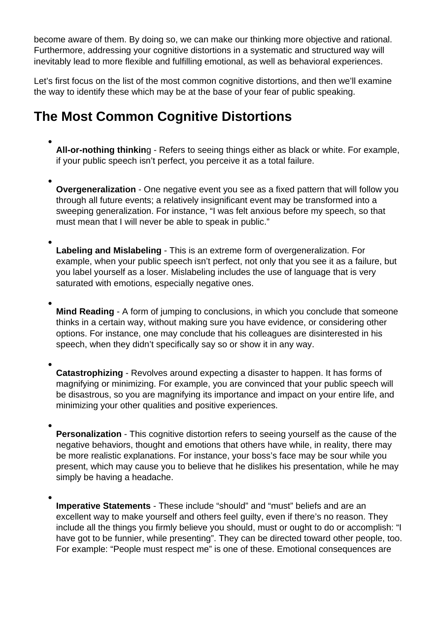become aware of them. By doing so, we can make our thinking more objective and rational. Furthermore, addressing your cognitive distortions in a systematic and structured way will inevitably lead to more flexible and fulfilling emotional, as well as behavioral experiences.

Let's first focus on the list of the most common cognitive distortions, and then we'll examine the way to identify these which may be at the base of your fear of public speaking.

#### **The Most Common Cognitive Distortions**

- **All-or-nothing thinkin**g Refers to seeing things either as black or white. For example, if your public speech isn't perfect, you perceive it as a total failure.
- **Overgeneralization** One negative event you see as a fixed pattern that will follow you through all future events; a relatively insignificant event may be transformed into a sweeping generalization. For instance, "I was felt anxious before my speech, so that must mean that I will never be able to speak in public."
- **Labeling and Mislabeling** This is an extreme form of overgeneralization. For example, when your public speech isn't perfect, not only that you see it as a failure, but you label yourself as a loser. Mislabeling includes the use of language that is very saturated with emotions, especially negative ones.
- **Mind Reading** A form of jumping to conclusions, in which you conclude that someone thinks in a certain way, without making sure you have evidence, or considering other options. For instance, one may conclude that his colleagues are disinterested in his speech, when they didn't specifically say so or show it in any way.
- **Catastrophizing** Revolves around expecting a disaster to happen. It has forms of magnifying or minimizing. For example, you are convinced that your public speech will be disastrous, so you are magnifying its importance and impact on your entire life, and minimizing your other qualities and positive experiences.
- **Personalization**  This cognitive distortion refers to seeing yourself as the cause of the negative behaviors, thought and emotions that others have while, in reality, there may be more realistic explanations. For instance, your boss's face may be sour while you present, which may cause you to believe that he dislikes his presentation, while he may simply be having a headache.
- **Imperative Statements** These include "should" and "must" beliefs and are an excellent way to make yourself and others feel guilty, even if there's no reason. They include all the things you firmly believe you should, must or ought to do or accomplish: "I have got to be funnier, while presenting". They can be directed toward other people, too. For example: "People must respect me" is one of these. Emotional consequences are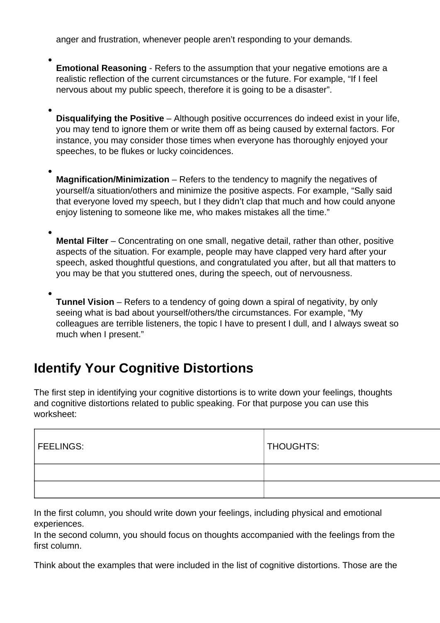anger and frustration, whenever people aren't responding to your demands.

- **Emotional Reasoning** Refers to the assumption that your negative emotions are a realistic reflection of the current circumstances or the future. For example, "If I feel nervous about my public speech, therefore it is going to be a disaster".
- **Disqualifying the Positive** Although positive occurrences do indeed exist in your life, you may tend to ignore them or write them off as being caused by external factors. For instance, you may consider those times when everyone has thoroughly enjoyed your speeches, to be flukes or lucky coincidences.
- **Magnification/Minimization** Refers to the tendency to magnify the negatives of yourself/a situation/others and minimize the positive aspects. For example, "Sally said that everyone loved my speech, but I they didn't clap that much and how could anyone enjoy listening to someone like me, who makes mistakes all the time."
- **Mental Filter** Concentrating on one small, negative detail, rather than other, positive aspects of the situation. For example, people may have clapped very hard after your speech, asked thoughtful questions, and congratulated you after, but all that matters to you may be that you stuttered ones, during the speech, out of nervousness.
- **Tunnel Vision** Refers to a tendency of going down a spiral of negativity, by only seeing what is bad about yourself/others/the circumstances. For example, "My colleagues are terrible listeners, the topic I have to present I dull, and I always sweat so much when I present."

# **Identify Your Cognitive Distortions**

The first step in identifying your cognitive distortions is to write down your feelings, thoughts and cognitive distortions related to public speaking. For that purpose you can use this worksheet:

| <b>FEELINGS:</b> | THOUGHTS: |
|------------------|-----------|
|                  |           |
|                  |           |

In the first column, you should write down your feelings, including physical and emotional experiences.

In the second column, you should focus on thoughts accompanied with the feelings from the first column.

Think about the examples that were included in the list of cognitive distortions. Those are the